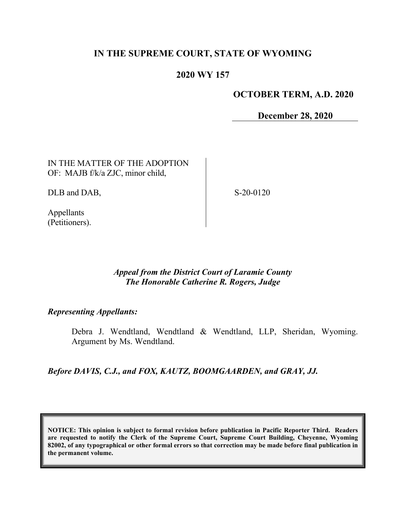## **IN THE SUPREME COURT, STATE OF WYOMING**

### **2020 WY 157**

#### **OCTOBER TERM, A.D. 2020**

**December 28, 2020**

IN THE MATTER OF THE ADOPTION OF: MAJB f/k/a ZJC, minor child,

DLB and DAB,

S-20-0120

Appellants (Petitioners).

### *Appeal from the District Court of Laramie County The Honorable Catherine R. Rogers, Judge*

*Representing Appellants:*

Debra J. Wendtland, Wendtland & Wendtland, LLP, Sheridan, Wyoming. Argument by Ms. Wendtland.

*Before DAVIS, C.J., and FOX, KAUTZ, BOOMGAARDEN, and GRAY, JJ.*

**NOTICE: This opinion is subject to formal revision before publication in Pacific Reporter Third. Readers are requested to notify the Clerk of the Supreme Court, Supreme Court Building, Cheyenne, Wyoming 82002, of any typographical or other formal errors so that correction may be made before final publication in the permanent volume.**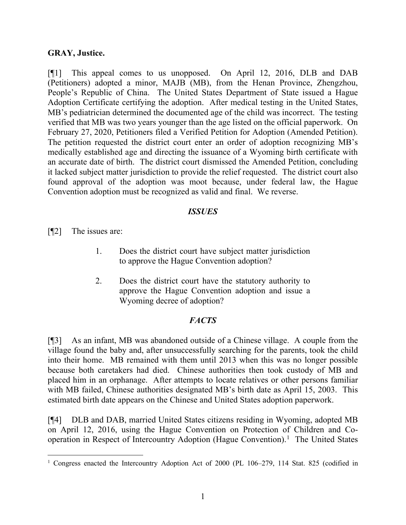### **GRAY, Justice.**

[¶1] This appeal comes to us unopposed. On April 12, 2016, DLB and DAB (Petitioners) adopted a minor, MAJB (MB), from the Henan Province, Zhengzhou, People's Republic of China. The United States Department of State issued a Hague Adoption Certificate certifying the adoption. After medical testing in the United States, MB's pediatrician determined the documented age of the child was incorrect. The testing verified that MB was two years younger than the age listed on the official paperwork. On February 27, 2020, Petitioners filed a Verified Petition for Adoption (Amended Petition). The petition requested the district court enter an order of adoption recognizing MB's medically established age and directing the issuance of a Wyoming birth certificate with an accurate date of birth. The district court dismissed the Amended Petition, concluding it lacked subject matter jurisdiction to provide the relief requested. The district court also found approval of the adoption was moot because, under federal law, the Hague Convention adoption must be recognized as valid and final. We reverse.

### *ISSUES*

[¶2] The issues are:

- 1. Does the district court have subject matter jurisdiction to approve the Hague Convention adoption?
- 2. Does the district court have the statutory authority to approve the Hague Convention adoption and issue a Wyoming decree of adoption?

# *FACTS*

[¶3] As an infant, MB was abandoned outside of a Chinese village. A couple from the village found the baby and, after unsuccessfully searching for the parents, took the child into their home. MB remained with them until 2013 when this was no longer possible because both caretakers had died. Chinese authorities then took custody of MB and placed him in an orphanage. After attempts to locate relatives or other persons familiar with MB failed, Chinese authorities designated MB's birth date as April 15, 2003. This estimated birth date appears on the Chinese and United States adoption paperwork.

[¶4] DLB and DAB, married United States citizens residing in Wyoming, adopted MB on April 12, 2016, using the Hague Convention on Protection of Children and Cooperation in Respect of Intercountry Adoption (Hague Convention). [1](#page-1-0) The United States

<span id="page-1-0"></span><sup>&</sup>lt;sup>1</sup> Congress enacted the Intercountry Adoption Act of 2000 (PL 106–279, 114 Stat. 825 (codified in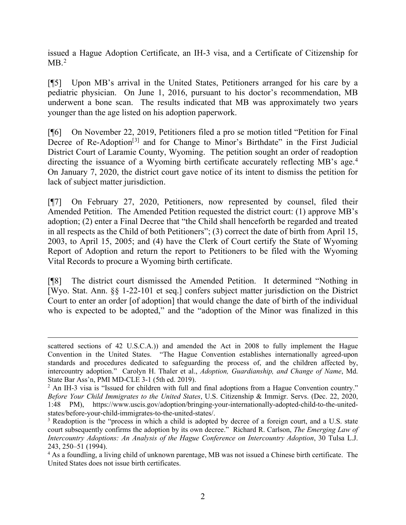issued a Hague Adoption Certificate, an IH-3 visa, and a Certificate of Citizenship for  $MB.^2$  $MB.^2$ 

[¶5] Upon MB's arrival in the United States, Petitioners arranged for his care by a pediatric physician. On June 1, 2016, pursuant to his doctor's recommendation, MB underwent a bone scan. The results indicated that MB was approximately two years younger than the age listed on his adoption paperwork.

[¶6] On November 22, 2019, Petitioners filed a pro se motion titled "Petition for Final Decree of Re-Adoption<sup>[[3](#page-2-1)]</sup> and for Change to Minor's Birthdate" in the First Judicial District Court of Laramie County, Wyoming. The petition sought an order of readoption directing the issuance of a Wyoming birth certificate accurately reflecting MB's age.<sup>[4](#page-2-2)</sup> On January 7, 2020, the district court gave notice of its intent to dismiss the petition for lack of subject matter jurisdiction.

[¶7] On February 27, 2020, Petitioners, now represented by counsel, filed their Amended Petition. The Amended Petition requested the district court: (1) approve MB's adoption; (2) enter a Final Decree that "the Child shall henceforth be regarded and treated in all respects as the Child of both Petitioners"; (3) correct the date of birth from April 15, 2003, to April 15, 2005; and (4) have the Clerk of Court certify the State of Wyoming Report of Adoption and return the report to Petitioners to be filed with the Wyoming Vital Records to procure a Wyoming birth certificate.

[¶8] The district court dismissed the Amended Petition. It determined "Nothing in [Wyo. Stat. Ann. §§ 1-22-101 et seq.] confers subject matter jurisdiction on the District Court to enter an order [of adoption] that would change the date of birth of the individual who is expected to be adopted," and the "adoption of the Minor was finalized in this

scattered sections of 42 U.S.C.A.)) and amended the Act in 2008 to fully implement the Hague Convention in the United States. "The Hague Convention establishes internationally agreed-upon standards and procedures dedicated to safeguarding the process of, and the children affected by, intercountry adoption." Carolyn H. Thaler et al., *Adoption, Guardianship, and Change of Name*, Md.

<span id="page-2-0"></span> $<sup>2</sup>$  An IH-3 visa is "Issued for children with full and final adoptions from a Hague Convention country."</sup> *Before Your Child Immigrates to the United States*, U.S. Citizenship & Immigr. Servs. (Dec. 22, 2020, 1:48 PM), https://www.uscis.gov/adoption/bringing-your-internationally-adopted-child-to-the-unitedstates/before-your-child-immigrates-to-the-united-states/.

<span id="page-2-1"></span><sup>&</sup>lt;sup>3</sup> Readoption is the "process in which a child is adopted by decree of a foreign court, and a U.S. state court subsequently confirms the adoption by its own decree." Richard R. Carlson, *The Emerging Law of Intercountry Adoptions: An Analysis of the Hague Conference on Intercountry Adoption*, 30 Tulsa L.J. 243, 250–51 (1994).

<span id="page-2-2"></span><sup>&</sup>lt;sup>4</sup> As a foundling, a living child of unknown parentage, MB was not issued a Chinese birth certificate. The United States does not issue birth certificates.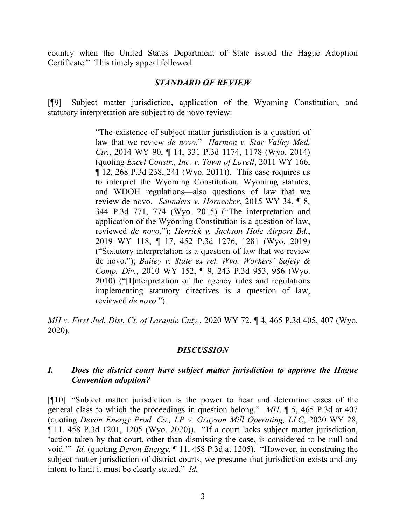country when the United States Department of State issued the Hague Adoption Certificate." This timely appeal followed.

#### *STANDARD OF REVIEW*

[¶9] Subject matter jurisdiction, application of the Wyoming Constitution, and statutory interpretation are subject to de novo review:

> "The existence of subject matter jurisdiction is a question of law that we review *de novo*." *Harmon v. Star Valley Med. Ctr.*, 2014 WY 90, ¶ 14, 331 P.3d 1174, 1178 (Wyo. 2014) (quoting *Excel Constr., Inc. v. Town of Lovell*, 2011 WY 166, ¶ 12, 268 P.3d 238, 241 (Wyo. 2011)). This case requires us to interpret the Wyoming Constitution, Wyoming statutes, and WDOH regulations—also questions of law that we review de novo. *Saunders v. Hornecker*, 2015 WY 34, ¶ 8, 344 P.3d 771, 774 (Wyo. 2015) ("The interpretation and application of the Wyoming Constitution is a question of law, reviewed *de novo*."); *Herrick v. Jackson Hole Airport Bd.*, 2019 WY 118, ¶ 17, 452 P.3d 1276, 1281 (Wyo. 2019) ("Statutory interpretation is a question of law that we review de novo."); *Bailey v. State ex rel. Wyo. Workers' Safety & Comp. Div.*, 2010 WY 152, ¶ 9, 243 P.3d 953, 956 (Wyo. 2010) ("[I]nterpretation of the agency rules and regulations implementing statutory directives is a question of law, reviewed *de novo*.").

*MH v. First Jud. Dist. Ct. of Laramie Cnty.*, 2020 WY 72, ¶ 4, 465 P.3d 405, 407 (Wyo. 2020).

### *DISCUSSION*

### *I. Does the district court have subject matter jurisdiction to approve the Hague Convention adoption?*

[¶10] "Subject matter jurisdiction is the power to hear and determine cases of the general class to which the proceedings in question belong." *MH*, ¶ 5, 465 P.3d at 407 (quoting *Devon Energy Prod. Co., LP v. Grayson Mill Operating, LLC*, 2020 WY 28, ¶ 11, 458 P.3d 1201, 1205 (Wyo. 2020)). "If a court lacks subject matter jurisdiction, 'action taken by that court, other than dismissing the case, is considered to be null and void.'" *Id.* (quoting *Devon Energy*, ¶ 11, 458 P.3d at 1205). "However, in construing the subject matter jurisdiction of district courts, we presume that jurisdiction exists and any intent to limit it must be clearly stated." *Id.*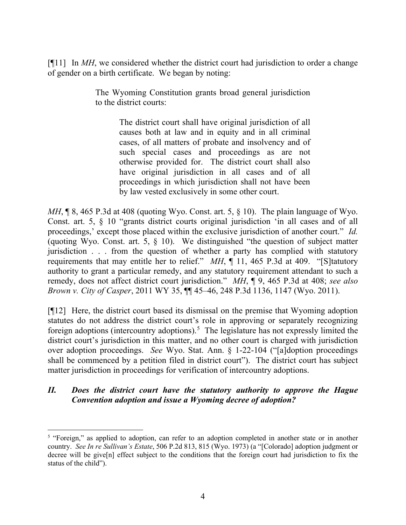[¶11] In *MH*, we considered whether the district court had jurisdiction to order a change of gender on a birth certificate. We began by noting:

> The Wyoming Constitution grants broad general jurisdiction to the district courts:

> > The district court shall have original jurisdiction of all causes both at law and in equity and in all criminal cases, of all matters of probate and insolvency and of such special cases and proceedings as are not otherwise provided for. The district court shall also have original jurisdiction in all cases and of all proceedings in which jurisdiction shall not have been by law vested exclusively in some other court.

*MH*, **[8, 465 P.3d at 408 (quoting Wyo. Const. art. 5,**  $\S$  **10). The plain language of Wyo.** Const. art. 5, § 10 "grants district courts original jurisdiction 'in all cases and of all proceedings,' except those placed within the exclusive jurisdiction of another court." *Id.* (quoting Wyo. Const. art. 5, § 10). We distinguished "the question of subject matter jurisdiction . . . from the question of whether a party has complied with statutory requirements that may entitle her to relief." *MH*, ¶ 11, 465 P.3d at 409. "[S]tatutory authority to grant a particular remedy, and any statutory requirement attendant to such a remedy, does not affect district court jurisdiction." *MH*, ¶ 9, 465 P.3d at 408; *see also Brown v. City of Casper*, 2011 WY 35, ¶¶ 45–46, 248 P.3d 1136, 1147 (Wyo. 2011).

[¶12] Here, the district court based its dismissal on the premise that Wyoming adoption statutes do not address the district court's role in approving or separately recognizing foreign adoptions (intercountry adoptions). [5](#page-4-0) The legislature has not expressly limited the district court's jurisdiction in this matter, and no other court is charged with jurisdiction over adoption proceedings. *See* Wyo. Stat. Ann. § 1-22-104 ("[a]doption proceedings shall be commenced by a petition filed in district court"). The district court has subject matter jurisdiction in proceedings for verification of intercountry adoptions.

# *II. Does the district court have the statutory authority to approve the Hague Convention adoption and issue a Wyoming decree of adoption?*

<span id="page-4-0"></span><sup>&</sup>lt;sup>5</sup> "Foreign," as applied to adoption, can refer to an adoption completed in another state or in another country. *See In re Sullivan's Estate*, 506 P.2d 813, 815 (Wyo. 1973) (a "[Colorado] adoption judgment or decree will be give[n] effect subject to the conditions that the foreign court had jurisdiction to fix the status of the child").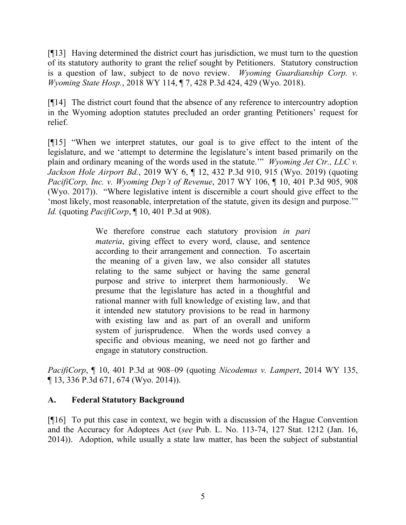[¶13] Having determined the district court has jurisdiction, we must turn to the question of its statutory authority to grant the relief sought by Petitioners. Statutory construction is a question of law, subject to de novo review. *Wyoming Guardianship Corp. v. Wyoming State Hosp.*, 2018 WY 114, ¶ 7, 428 P.3d 424, 429 (Wyo. 2018).

[¶14] The district court found that the absence of any reference to intercountry adoption in the Wyoming adoption statutes precluded an order granting Petitioners' request for relief.

[¶15] "When we interpret statutes, our goal is to give effect to the intent of the legislature, and we 'attempt to determine the legislature's intent based primarily on the plain and ordinary meaning of the words used in the statute.'" *Wyoming Jet Ctr., LLC v. Jackson Hole Airport Bd.*, 2019 WY 6, ¶ 12, 432 P.3d 910, 915 (Wyo. 2019) (quoting *PacifiCorp, Inc. v. Wyoming Dep't of Revenue*, 2017 WY 106, ¶ 10, 401 P.3d 905, 908 (Wyo. 2017)). "Where legislative intent is discernible a court should give effect to the 'most likely, most reasonable, interpretation of the statute, given its design and purpose.'" *Id.* (quoting *PacifiCorp*, ¶ 10, 401 P.3d at 908).

> We therefore construe each statutory provision *in pari materia*, giving effect to every word, clause, and sentence according to their arrangement and connection. To ascertain the meaning of a given law, we also consider all statutes relating to the same subject or having the same general purpose and strive to interpret them harmoniously. We presume that the legislature has acted in a thoughtful and rational manner with full knowledge of existing law, and that it intended new statutory provisions to be read in harmony with existing law and as part of an overall and uniform system of jurisprudence. When the words used convey a specific and obvious meaning, we need not go farther and engage in statutory construction.

*PacifiCorp*, ¶ 10, 401 P.3d at 908–09 (quoting *Nicodemus v. Lampert*, 2014 WY 135, ¶ 13, 336 P.3d 671, 674 (Wyo. 2014)).

### **A. Federal Statutory Background**

[¶16] To put this case in context, we begin with a discussion of the Hague Convention and the Accuracy for Adoptees Act (*see* Pub. L. No. 113-74, 127 Stat. 1212 (Jan. 16, 2014)). Adoption, while usually a state law matter, has been the subject of substantial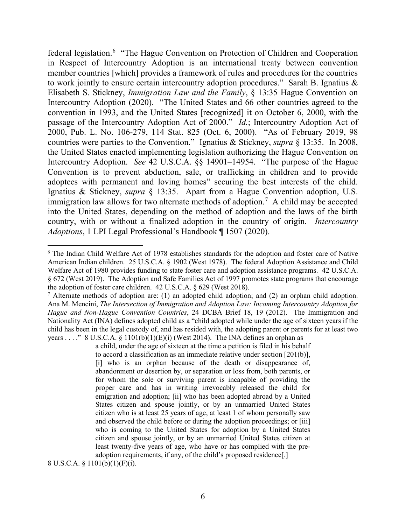federal legislation.[6](#page-6-0) "The Hague Convention on Protection of Children and Cooperation in Respect of Intercountry Adoption is an international treaty between convention member countries [which] provides a framework of rules and procedures for the countries to work jointly to ensure certain intercountry adoption procedures." Sarah B. Ignatius & Elisabeth S. Stickney, *Immigration Law and the Family*, § 13:35 Hague Convention on Intercountry Adoption (2020). "The United States and 66 other countries agreed to the convention in 1993, and the United States [recognized] it on October 6, 2000, with the passage of the Intercountry Adoption Act of 2000." *Id.*; Intercountry Adoption Act of 2000, Pub. L. No. 106-279, 114 Stat. 825 (Oct. 6, 2000). "As of February 2019, 98 countries were parties to the Convention." Ignatius & Stickney, *supra* § 13:35. In 2008, the United States enacted implementing legislation authorizing the Hague Convention on Intercountry Adoption. *See* 42 U.S.C.A. §§ 14901–14954. "The purpose of the Hague Convention is to prevent abduction, sale, or trafficking in children and to provide adoptees with permanent and loving homes" securing the best interests of the child. Ignatius & Stickney, *supra* § 13:35. Apart from a Hague Convention adoption, U.S. immigration law allows for two alternate methods of adoption.<sup>[7](#page-6-1)</sup> A child may be accepted into the United States, depending on the method of adoption and the laws of the birth country, with or without a finalized adoption in the country of origin. *Intercountry Adoptions*, 1 LPI Legal Professional's Handbook ¶ 1507 (2020).

a child, under the age of sixteen at the time a petition is filed in his behalf to accord a classification as an immediate relative under section [201(b)], [i] who is an orphan because of the death or disappearance of, abandonment or desertion by, or separation or loss from, both parents, or for whom the sole or surviving parent is incapable of providing the proper care and has in writing irrevocably released the child for emigration and adoption; [ii] who has been adopted abroad by a United States citizen and spouse jointly, or by an unmarried United States citizen who is at least 25 years of age, at least 1 of whom personally saw and observed the child before or during the adoption proceedings; or [iii] who is coming to the United States for adoption by a United States citizen and spouse jointly, or by an unmarried United States citizen at least twenty-five years of age, who have or has complied with the preadoption requirements, if any, of the child's proposed residence[.]

8 U.S.C.A. § 1101(b)(1)(F)(i).

<span id="page-6-0"></span><sup>6</sup> The Indian Child Welfare Act of 1978 establishes standards for the adoption and foster care of Native American Indian children. 25 U.S.C.A. § 1902 (West 1978). The federal Adoption Assistance and Child Welfare Act of 1980 provides funding to state foster care and adoption assistance programs. 42 U.S.C.A. § 672 (West 2019). The Adoption and Safe Families Act of 1997 promotes state programs that encourage the adoption of foster care children. 42 U.S.C.A. § 629 (West 2018).

<span id="page-6-1"></span><sup>&</sup>lt;sup>7</sup> Alternate methods of adoption are: (1) an adopted child adoption; and (2) an orphan child adoption. Ana M. Mencini, *The Intersection of Immigration and Adoption Law: Incoming Intercountry Adoption for Hague and Non-Hague Convention Countries*, 24 DCBA Brief 18, 19 (2012). The Immigration and Nationality Act (INA) defines adopted child as a "child adopted while under the age of sixteen years if the child has been in the legal custody of, and has resided with, the adopting parent or parents for at least two years . . . ." 8 U.S.C.A.  $\S$  1101(b)(1)(E)(i) (West 2014). The INA defines an orphan as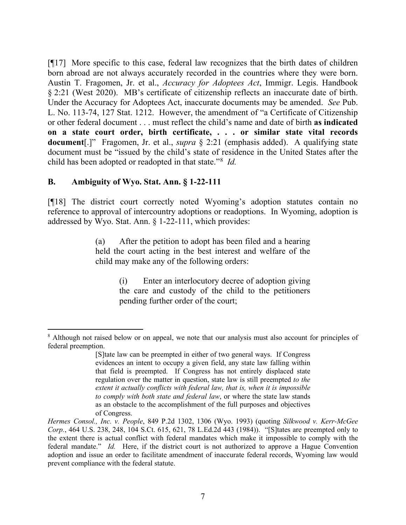[¶17] More specific to this case, federal law recognizes that the birth dates of children born abroad are not always accurately recorded in the countries where they were born. Austin T. Fragomen, Jr. et al., *Accuracy for Adoptees Act*, Immigr. Legis. Handbook § 2:21 (West 2020). MB's certificate of citizenship reflects an inaccurate date of birth. Under the Accuracy for Adoptees Act, inaccurate documents may be amended. *See* Pub. L. No. 113-74, 127 Stat. 1212. However, the amendment of "a Certificate of Citizenship or other federal document . . . must reflect the child's name and date of birth **as indicated on a state court order, birth certificate, . . . or similar state vital records document**[.]" Fragomen, Jr. et al., *supra* § 2:21 (emphasis added). A qualifying state document must be "issued by the child's state of residence in the United States after the child has been adopted or readopted in that state."[8](#page-7-0) *Id.*

### **B. Ambiguity of Wyo. Stat. Ann. § 1-22-111**

[¶18] The district court correctly noted Wyoming's adoption statutes contain no reference to approval of intercountry adoptions or readoptions. In Wyoming, adoption is addressed by Wyo. Stat. Ann. § 1-22-111, which provides:

> (a) After the petition to adopt has been filed and a hearing held the court acting in the best interest and welfare of the child may make any of the following orders:

> > (i) Enter an interlocutory decree of adoption giving the care and custody of the child to the petitioners pending further order of the court;

<span id="page-7-0"></span><sup>&</sup>lt;sup>8</sup> Although not raised below or on appeal, we note that our analysis must also account for principles of federal preemption.

<sup>[</sup>S]tate law can be preempted in either of two general ways. If Congress evidences an intent to occupy a given field, any state law falling within that field is preempted. If Congress has not entirely displaced state regulation over the matter in question, state law is still preempted *to the extent it actually conflicts with federal law, that is, when it is impossible to comply with both state and federal law*, or where the state law stands as an obstacle to the accomplishment of the full purposes and objectives of Congress.

*Hermes Consol., Inc. v. People*, 849 P.2d 1302, 1306 (Wyo. 1993) (quoting *Silkwood v. Kerr-McGee Corp.*, 464 U.S. 238, 248, 104 S.Ct. 615, 621, 78 L.Ed.2d 443 (1984)). "[S]tates are preempted only to the extent there is actual conflict with federal mandates which make it impossible to comply with the federal mandate." *Id.* Here, if the district court is not authorized to approve a Hague Convention adoption and issue an order to facilitate amendment of inaccurate federal records, Wyoming law would prevent compliance with the federal statute.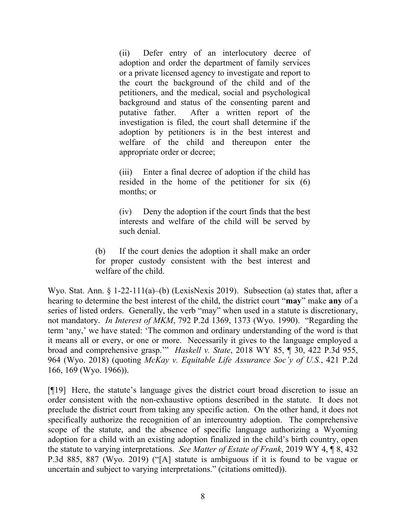(ii) Defer entry of an interlocutory decree of adoption and order the department of family services or a private licensed agency to investigate and report to the court the background of the child and of the petitioners, and the medical, social and psychological background and status of the consenting parent and putative father. After a written report of the investigation is filed, the court shall determine if the adoption by petitioners is in the best interest and welfare of the child and thereupon enter the appropriate order or decree;

(iii) Enter a final decree of adoption if the child has resided in the home of the petitioner for six (6) months; or

(iv) Deny the adoption if the court finds that the best interests and welfare of the child will be served by such denial.

(b) If the court denies the adoption it shall make an order for proper custody consistent with the best interest and welfare of the child.

Wyo. Stat. Ann. § 1-22-111(a)–(b) (LexisNexis 2019). Subsection (a) states that, after a hearing to determine the best interest of the child, the district court "**may**" make **any** of a series of listed orders. Generally, the verb "may" when used in a statute is discretionary, not mandatory. *In Interest of MKM*, 792 P.2d 1369, 1373 (Wyo. 1990). "Regarding the term 'any,' we have stated: 'The common and ordinary understanding of the word is that it means all or every, or one or more. Necessarily it gives to the language employed a broad and comprehensive grasp.'" *Haskell v. State*, 2018 WY 85, ¶ 30, 422 P.3d 955, 964 (Wyo. 2018) (quoting *McKay v. Equitable Life Assurance Soc'y of U.S.*, 421 P.2d 166, 169 (Wyo. 1966)).

[¶19] Here, the statute's language gives the district court broad discretion to issue an order consistent with the non-exhaustive options described in the statute. It does not preclude the district court from taking any specific action. On the other hand, it does not specifically authorize the recognition of an intercountry adoption. The comprehensive scope of the statute, and the absence of specific language authorizing a Wyoming adoption for a child with an existing adoption finalized in the child's birth country, open the statute to varying interpretations. *See Matter of Estate of Frank*, 2019 WY 4, ¶ 8, 432 P.3d 885, 887 (Wyo. 2019) ("[A] statute is ambiguous if it is found to be vague or uncertain and subject to varying interpretations." (citations omitted)).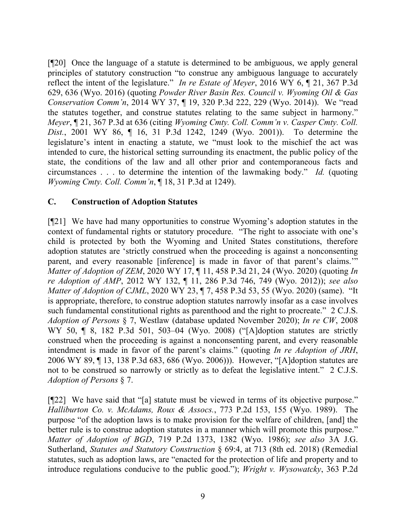[¶20] Once the language of a statute is determined to be ambiguous, we apply general principles of statutory construction "to construe any ambiguous language to accurately reflect the intent of the legislature." *In re Estate of Meyer*, 2016 WY 6, ¶ 21, 367 P.3d 629, 636 (Wyo. 2016) (quoting *Powder River Basin Res. Council v. Wyoming Oil & Gas Conservation Comm'n*, 2014 WY 37, ¶ 19, 320 P.3d 222, 229 (Wyo. 2014)). We "read the statutes together, and construe statutes relating to the same subject in harmony." *Meyer*, ¶ 21, 367 P.3d at 636 (citing *Wyoming Cmty. Coll. Comm'n v. Casper Cmty. Coll. Dist.*, 2001 WY 86, ¶ 16, 31 P.3d 1242, 1249 (Wyo. 2001)). To determine the legislature's intent in enacting a statute, we "must look to the mischief the act was intended to cure, the historical setting surrounding its enactment, the public policy of the state, the conditions of the law and all other prior and contemporaneous facts and circumstances . . . to determine the intention of the lawmaking body." *Id.* (quoting *Wyoming Cmty. Coll. Comm'n*, ¶ 18, 31 P.3d at 1249).

# **C. Construction of Adoption Statutes**

[¶21] We have had many opportunities to construe Wyoming's adoption statutes in the context of fundamental rights or statutory procedure. "The right to associate with one's child is protected by both the Wyoming and United States constitutions, therefore adoption statutes are 'strictly construed when the proceeding is against a nonconsenting parent, and every reasonable [inference] is made in favor of that parent's claims." *Matter of Adoption of ZEM*, 2020 WY 17, ¶ 11, 458 P.3d 21, 24 (Wyo. 2020) (quoting *In re Adoption of AMP*, 2012 WY 132, ¶ 11, 286 P.3d 746, 749 (Wyo. 2012)); *see also Matter of Adoption of CJML*, 2020 WY 23, ¶ 7, 458 P.3d 53, 55 (Wyo. 2020) (same). "It is appropriate, therefore, to construe adoption statutes narrowly insofar as a case involves such fundamental constitutional rights as parenthood and the right to procreate." 2 C.J.S. *Adoption of Persons* § 7, Westlaw (database updated November 2020); *In re CW*, 2008 WY 50, **[8, 182 P.3d 501, 503–04 (Wyo. 2008)** ("[A]doption statutes are strictly construed when the proceeding is against a nonconsenting parent, and every reasonable intendment is made in favor of the parent's claims." (quoting *In re Adoption of JRH*, 2006 WY 89, ¶ 13, 138 P.3d 683, 686 (Wyo. 2006))). However, "[A]doption statutes are not to be construed so narrowly or strictly as to defeat the legislative intent." 2 C.J.S. *Adoption of Persons* § 7.

[¶22] We have said that "[a] statute must be viewed in terms of its objective purpose." *Halliburton Co. v. McAdams, Roux & Assocs.*, 773 P.2d 153, 155 (Wyo. 1989). The purpose "of the adoption laws is to make provision for the welfare of children, [and] the better rule is to construe adoption statutes in a manner which will promote this purpose." *Matter of Adoption of BGD*, 719 P.2d 1373, 1382 (Wyo. 1986); *see also* 3A J.G. Sutherland, *Statutes and Statutory Construction* § 69:4, at 713 (8th ed. 2018) (Remedial statutes, such as adoption laws, are "enacted for the protection of life and property and to introduce regulations conducive to the public good."); *Wright v. Wysowatcky*, 363 P.2d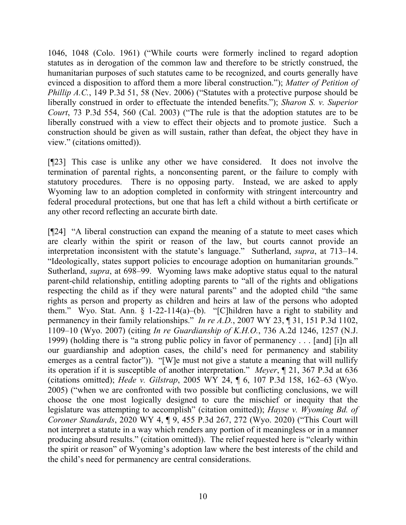1046, 1048 (Colo. 1961) ("While courts were formerly inclined to regard adoption statutes as in derogation of the common law and therefore to be strictly construed, the humanitarian purposes of such statutes came to be recognized, and courts generally have evinced a disposition to afford them a more liberal construction."); *Matter of Petition of Phillip A.C.*, 149 P.3d 51, 58 (Nev. 2006) ("Statutes with a protective purpose should be liberally construed in order to effectuate the intended benefits."); *Sharon S. v. Superior Court*, 73 P.3d 554, 560 (Cal. 2003) ("The rule is that the adoption statutes are to be liberally construed with a view to effect their objects and to promote justice. Such a construction should be given as will sustain, rather than defeat, the object they have in view." (citations omitted)).

[¶23] This case is unlike any other we have considered. It does not involve the termination of parental rights, a nonconsenting parent, or the failure to comply with statutory procedures. There is no opposing party. Instead, we are asked to apply Wyoming law to an adoption completed in conformity with stringent intercountry and federal procedural protections, but one that has left a child without a birth certificate or any other record reflecting an accurate birth date.

[¶24] "A liberal construction can expand the meaning of a statute to meet cases which are clearly within the spirit or reason of the law, but courts cannot provide an interpretation inconsistent with the statute's language." Sutherland, *supra*, at 713–14. "Ideologically, states support policies to encourage adoption on humanitarian grounds." Sutherland, *supra*, at 698–99. Wyoming laws make adoptive status equal to the natural parent-child relationship, entitling adopting parents to "all of the rights and obligations respecting the child as if they were natural parents" and the adopted child "the same rights as person and property as children and heirs at law of the persons who adopted them." Wyo. Stat. Ann. § 1-22-114(a)–(b). "[C]hildren have a right to stability and permanency in their family relationships." *In re A.D.*, 2007 WY 23, ¶ 31, 151 P.3d 1102, 1109–10 (Wyo. 2007) (citing *In re Guardianship of K.H.O.*, 736 A.2d 1246, 1257 (N.J. 1999) (holding there is "a strong public policy in favor of permanency . . . [and] [i]n all our guardianship and adoption cases, the child's need for permanency and stability emerges as a central factor")). "[W]e must not give a statute a meaning that will nullify its operation if it is susceptible of another interpretation." *Meyer*, ¶ 21, 367 P.3d at 636 (citations omitted); *Hede v. Gilstrap*, 2005 WY 24, ¶ 6, 107 P.3d 158, 162–63 (Wyo. 2005) ("when we are confronted with two possible but conflicting conclusions, we will choose the one most logically designed to cure the mischief or inequity that the legislature was attempting to accomplish" (citation omitted)); *Hayse v. Wyoming Bd. of Coroner Standards*, 2020 WY 4, ¶ 9, 455 P.3d 267, 272 (Wyo. 2020) ("This Court will not interpret a statute in a way which renders any portion of it meaningless or in a manner producing absurd results." (citation omitted)). The relief requested here is "clearly within the spirit or reason" of Wyoming's adoption law where the best interests of the child and the child's need for permanency are central considerations.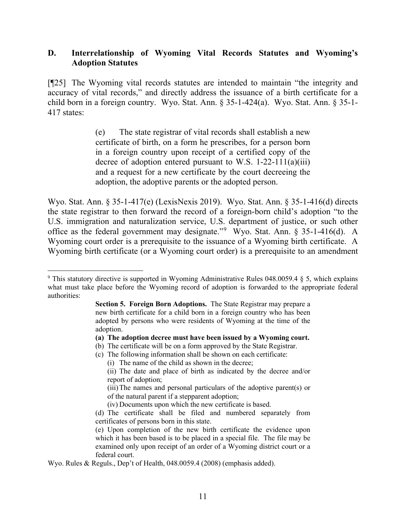### **D. Interrelationship of Wyoming Vital Records Statutes and Wyoming's Adoption Statutes**

[¶25] The Wyoming vital records statutes are intended to maintain "the integrity and accuracy of vital records," and directly address the issuance of a birth certificate for a child born in a foreign country. Wyo. Stat. Ann. § 35-1-424(a). Wyo. Stat. Ann. § 35-1- 417 states:

> (e) The state registrar of vital records shall establish a new certificate of birth, on a form he prescribes, for a person born in a foreign country upon receipt of a certified copy of the decree of adoption entered pursuant to W.S. 1-22-111(a)(iii) and a request for a new certificate by the court decreeing the adoption, the adoptive parents or the adopted person.

Wyo. Stat. Ann. § 35-1-417(e) (LexisNexis 2019). Wyo. Stat. Ann. § 35-1-416(d) directs the state registrar to then forward the record of a foreign-born child's adoption "to the U.S. immigration and naturalization service, U.S. department of justice, or such other office as the federal government may designate."[9](#page-11-0) Wyo. Stat. Ann. § 35-1-416(d). A Wyoming court order is a prerequisite to the issuance of a Wyoming birth certificate. A Wyoming birth certificate (or a Wyoming court order) is a prerequisite to an amendment

(c) The following information shall be shown on each certificate:

(i) The name of the child as shown in the decree;

<span id="page-11-0"></span><sup>&</sup>lt;sup>9</sup> This statutory directive is supported in Wyoming Administrative Rules 048.0059.4  $\S$  5, which explains what must take place before the Wyoming record of adoption is forwarded to the appropriate federal authorities:

**Section 5. Foreign Born Adoptions.** The State Registrar may prepare a new birth certificate for a child born in a foreign country who has been adopted by persons who were residents of Wyoming at the time of the adoption.

**<sup>(</sup>a) The adoption decree must have been issued by a Wyoming court.**

<sup>(</sup>b) The certificate will be on a form approved by the State Registrar.

<sup>(</sup>ii) The date and place of birth as indicated by the decree and/or report of adoption;

<sup>(</sup>iii)The names and personal particulars of the adoptive parent(s) or of the natural parent if a stepparent adoption;

<sup>(</sup>iv) Documents upon which the new certificate is based.

<sup>(</sup>d) The certificate shall be filed and numbered separately from certificates of persons born in this state.

<sup>(</sup>e) Upon completion of the new birth certificate the evidence upon which it has been based is to be placed in a special file. The file may be examined only upon receipt of an order of a Wyoming district court or a federal court.

Wyo. Rules & Reguls., Dep't of Health, 048.0059.4 (2008) (emphasis added).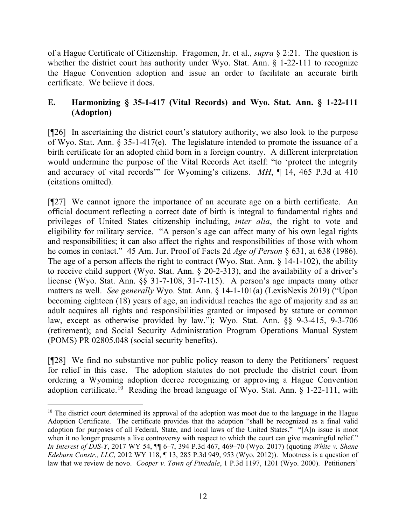of a Hague Certificate of Citizenship. Fragomen, Jr. et al., *supra* § 2:21. The question is whether the district court has authority under Wyo. Stat. Ann.  $\S$  1-22-111 to recognize the Hague Convention adoption and issue an order to facilitate an accurate birth certificate. We believe it does.

# **E. Harmonizing § 35-1-417 (Vital Records) and Wyo. Stat. Ann. § 1-22-111 (Adoption)**

[¶26] In ascertaining the district court's statutory authority, we also look to the purpose of Wyo. Stat. Ann. § 35-1-417(e). The legislature intended to promote the issuance of a birth certificate for an adopted child born in a foreign country. A different interpretation would undermine the purpose of the Vital Records Act itself: "to 'protect the integrity and accuracy of vital records'" for Wyoming's citizens. *MH*, ¶ 14, 465 P.3d at 410 (citations omitted).

[¶27] We cannot ignore the importance of an accurate age on a birth certificate. An official document reflecting a correct date of birth is integral to fundamental rights and privileges of United States citizenship including, *inter alia*, the right to vote and eligibility for military service. "A person's age can affect many of his own legal rights and responsibilities; it can also affect the rights and responsibilities of those with whom he comes in contact." 45 Am. Jur. Proof of Facts 2d *Age of Person* § 631, at 638 (1986). The age of a person affects the right to contract (Wyo. Stat. Ann. § 14-1-102), the ability to receive child support (Wyo. Stat. Ann. § 20-2-313), and the availability of a driver's license (Wyo. Stat. Ann. §§ 31-7-108, 31-7-115). A person's age impacts many other matters as well. *See generally* Wyo. Stat. Ann. § 14-1-101(a) (LexisNexis 2019) ("Upon becoming eighteen (18) years of age, an individual reaches the age of majority and as an adult acquires all rights and responsibilities granted or imposed by statute or common law, except as otherwise provided by law."); Wyo. Stat. Ann. §§ 9-3-415, 9-3-706 (retirement); and Social Security Administration Program Operations Manual System (POMS) PR 02805.048 (social security benefits).

[¶28] We find no substantive nor public policy reason to deny the Petitioners' request for relief in this case. The adoption statutes do not preclude the district court from ordering a Wyoming adoption decree recognizing or approving a Hague Convention adoption certificate.<sup>[10](#page-12-0)</sup> Reading the broad language of Wyo. Stat. Ann.  $\S$  1-22-111, with

<span id="page-12-0"></span><sup>&</sup>lt;sup>10</sup> The district court determined its approval of the adoption was moot due to the language in the Hague Adoption Certificate. The certificate provides that the adoption "shall be recognized as a final valid adoption for purposes of all Federal, State, and local laws of the United States." "[A]n issue is moot when it no longer presents a live controversy with respect to which the court can give meaningful relief." *In Interest of DJS-Y*, 2017 WY 54, ¶¶ 6–7, 394 P.3d 467, 469–70 (Wyo. 2017) (quoting *White v. Shane Edeburn Constr., LLC*, 2012 WY 118, ¶ 13, 285 P.3d 949, 953 (Wyo. 2012)). Mootness is a question of law that we review de novo. *Cooper v. Town of Pinedale*, 1 P.3d 1197, 1201 (Wyo. 2000). Petitioners'